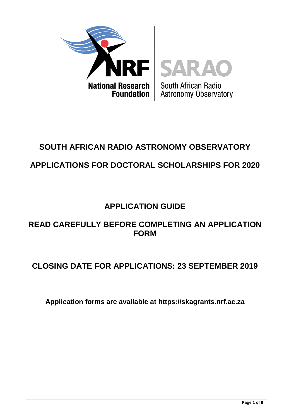

# **SOUTH AFRICAN RADIO ASTRONOMY OBSERVATORY APPLICATIONS FOR DOCTORAL SCHOLARSHIPS FOR 2020**

## **APPLICATION GUIDE**

## **READ CAREFULLY BEFORE COMPLETING AN APPLICATION FORM**

## **CLOSING DATE FOR APPLICATIONS: 23 SEPTEMBER 2019**

**Application forms are available at [https://skagrants.nrf.ac.za](https://skagrants.nrf.ac.za/)**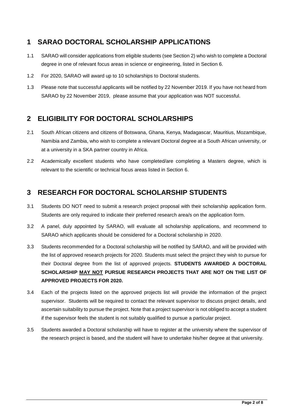## **1 SARAO DOCTORAL SCHOLARSHIP APPLICATIONS**

- 1.1 SARAO will consider applications from eligible students (see Section 2) who wish to complete a Doctoral degree in one of relevant focus areas in science or engineering, listed in Section 6.
- 1.2 For 2020, SARAO will award up to 10 scholarships to Doctoral students.
- 1.3 Please note that successful applicants will be notified by 22 November 2019. If you have not heard from SARAO by 22 November 2019, please assume that your application was NOT successful.

## **2 ELIGIBILITY FOR DOCTORAL SCHOLARSHIPS**

- 2.1 South African citizens and citizens of Botswana, Ghana, Kenya, Madagascar, Mauritius, Mozambique, Namibia and Zambia, who wish to complete a relevant Doctoral degree at a South African university, or at a university in a SKA partner country in Africa.
- 2.2 Academically excellent students who have completed/are completing a Masters degree, which is relevant to the scientific or technical focus areas listed in Section 6.

## **3 RESEARCH FOR DOCTORAL SCHOLARSHIP STUDENTS**

- 3.1 Students DO NOT need to submit a research project proposal with their scholarship application form. Students are only required to indicate their preferred research area/s on the application form.
- 3.2 A panel, duly appointed by SARAO, will evaluate all scholarship applications, and recommend to SARAO which applicants should be considered for a Doctoral scholarship in 2020.
- 3.3 Students recommended for a Doctoral scholarship will be notified by SARAO, and will be provided with the list of approved research projects for 2020. Students must select the project they wish to pursue for their Doctoral degree from the list of approved projects. **STUDENTS AWARDED A DOCTORAL SCHOLARSHIP MAY NOT PURSUE RESEARCH PROJECTS THAT ARE NOT ON THE LIST OF APPROVED PROJECTS FOR 2020.**
- 3.4 Each of the projects listed on the approved projects list will provide the information of the project supervisor. Students will be required to contact the relevant supervisor to discuss project details, and ascertain suitability to pursue the project. Note that a project supervisor is not obliged to accept a student if the supervisor feels the student is not suitably qualified to pursue a particular project.
- 3.5 Students awarded a Doctoral scholarship will have to register at the university where the supervisor of the research project is based, and the student will have to undertake his/her degree at that university.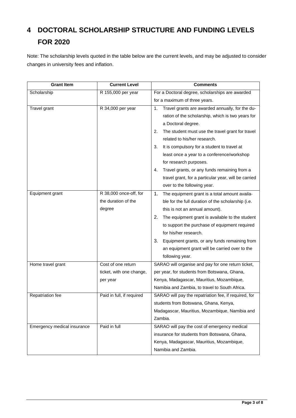## **4 DOCTORAL SCHOLARSHIP STRUCTURE AND FUNDING LEVELS FOR 2020**

Note: The scholarship levels quoted in the table below are the current levels, and may be adjusted to consider changes in university fees and inflation.

| <b>Grant Item</b>           | <b>Current Level</b>      | <b>Comments</b>                                        |
|-----------------------------|---------------------------|--------------------------------------------------------|
| Scholarship                 | R 155,000 per year        | For a Doctoral degree, scholarships are awarded        |
|                             |                           | for a maximum of three years.                          |
| Travel grant                | R 34,000 per year         | Travel grants are awarded annually, for the du-<br>1.  |
|                             |                           | ration of the scholarship, which is two years for      |
|                             |                           | a Doctoral degree.                                     |
|                             |                           | The student must use the travel grant for travel<br>2. |
|                             |                           | related to his/her research.                           |
|                             |                           | It is compulsory for a student to travel at<br>3.      |
|                             |                           | least once a year to a conference/workshop             |
|                             |                           | for research purposes.                                 |
|                             |                           | Travel grants, or any funds remaining from a<br>4.     |
|                             |                           | travel grant, for a particular year, will be carried   |
|                             |                           | over to the following year.                            |
| Equipment grant             | R 38,000 once-off, for    | The equipment grant is a total amount availa-<br>1.    |
|                             | the duration of the       | ble for the full duration of the scholarship (i.e.     |
|                             | degree                    | this is not an annual amount).                         |
|                             |                           | 2.<br>The equipment grant is available to the student  |
|                             |                           | to support the purchase of equipment required          |
|                             |                           | for his/her research.                                  |
|                             |                           | 3.<br>Equipment grants, or any funds remaining from    |
|                             |                           | an equipment grant will be carried over to the         |
|                             |                           | following year.                                        |
| Home travel grant           | Cost of one return        | SARAO will organise and pay for one return ticket,     |
|                             | ticket, with one change,  | per year, for students from Botswana, Ghana,           |
|                             | per year                  | Kenya, Madagascar, Mauritius, Mozambique,              |
|                             |                           | Namibia and Zambia, to travel to South Africa.         |
| Repatriation fee            | Paid in full, if required | SARAO will pay the repatriation fee, if required, for  |
|                             |                           | students from Botswana, Ghana, Kenya,                  |
|                             |                           | Madagascar, Mauritius, Mozambique, Namibia and         |
|                             |                           | Zambia.                                                |
| Emergency medical insurance | Paid in full              | SARAO will pay the cost of emergency medical           |
|                             |                           | insurance for students from Botswana, Ghana,           |
|                             |                           | Kenya, Madagascar, Mauritius, Mozambique,              |
|                             |                           | Namibia and Zambia.                                    |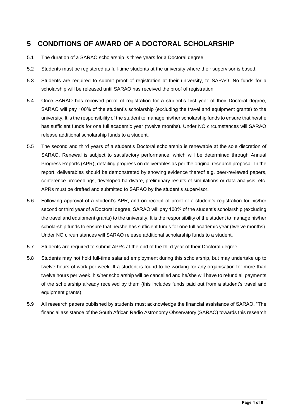## **5 CONDITIONS OF AWARD OF A DOCTORAL SCHOLARSHIP**

- 5.1 The duration of a SARAO scholarship is three years for a Doctoral degree.
- 5.2 Students must be registered as full-time students at the university where their supervisor is based.
- 5.3 Students are required to submit proof of registration at their university, to SARAO. No funds for a scholarship will be released until SARAO has received the proof of registration.
- 5.4 Once SARAO has received proof of registration for a student's first year of their Doctoral degree, SARAO will pay 100% of the student's scholarship (excluding the travel and equipment grants) to the university. It is the responsibility of the student to manage his/her scholarship funds to ensure that he/she has sufficient funds for one full academic year (twelve months). Under NO circumstances will SARAO release additional scholarship funds to a student.
- 5.5 The second and third years of a student's Doctoral scholarship is renewable at the sole discretion of SARAO. Renewal is subject to satisfactory performance, which will be determined through Annual Progress Reports (APR), detailing progress on deliverables as per the original research proposal. In the report, deliverables should be demonstrated by showing evidence thereof e.g. peer-reviewed papers, conference proceedings, developed hardware, preliminary results of simulations or data analysis, etc. APRs must be drafted and submitted to SARAO by the student's supervisor.
- 5.6 Following approval of a student's APR, and on receipt of proof of a student's registration for his/her second or third year of a Doctoral degree, SARAO will pay 100% of the student's scholarship (excluding the travel and equipment grants) to the university. It is the responsibility of the student to manage his/her scholarship funds to ensure that he/she has sufficient funds for one full academic year (twelve months). Under NO circumstances will SARAO release additional scholarship funds to a student.
- 5.7 Students are required to submit APRs at the end of the third year of their Doctoral degree.
- 5.8 Students may not hold full-time salaried employment during this scholarship, but may undertake up to twelve hours of work per week. If a student is found to be working for any organisation for more than twelve hours per week, his/her scholarship will be cancelled and he/she will have to refund all payments of the scholarship already received by them (this includes funds paid out from a student's travel and equipment grants).
- 5.9 All research papers published by students must acknowledge the financial assistance of SARAO. "The financial assistance of the South African Radio Astronomy Observatory (SARAO) towards this research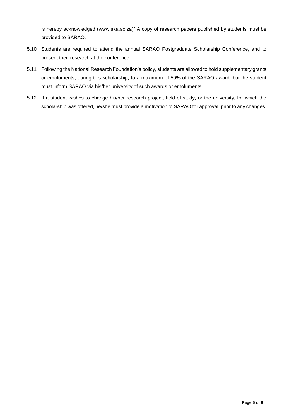is hereby acknowledged (www.ska.ac.za)" A copy of research papers published by students must be provided to SARAO.

- 5.10 Students are required to attend the annual SARAO Postgraduate Scholarship Conference, and to present their research at the conference.
- 5.11 Following the National Research Foundation's policy, students are allowed to hold supplementary grants or emoluments, during this scholarship, to a maximum of 50% of the SARAO award, but the student must inform SARAO via his/her university of such awards or emoluments.
- 5.12 If a student wishes to change his/her research project, field of study, or the university, for which the scholarship was offered, he/she must provide a motivation to SARAO for approval, prior to any changes.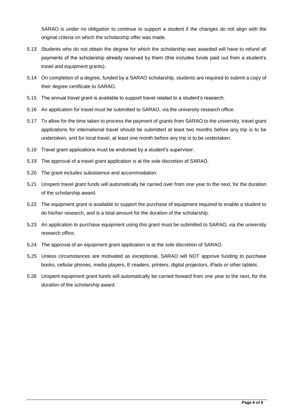SARAO is under no obligation to continue to support a student if the changes do not align with the original criteria on which the scholarship offer was made.

- 5.13 Students who do not obtain the degree for which the scholarship was awarded will have to refund all payments of the scholarship already received by them (this includes funds paid out from a student's travel and equipment grants).
- 5.14 On completion of a degree, funded by a SARAO scholarship, students are required to submit a copy of their degree certificate to SARAO.
- 5.15 The annual travel grant is available to support travel related to a student's research.
- 5.16 An application for travel must be submitted to SARAO, via the university research office.
- 5.17 To allow for the time taken to process the payment of grants from SARAO to the university, travel grant applications for international travel should be submitted at least two months before any trip is to be undertaken, and for local travel, at least one month before any trip is to be undertaken.
- 5.18 Travel grant applications must be endorsed by a student's supervisor.
- 5.19 The approval of a travel grant application is at the sole discretion of SARAO.
- 5.20 The grant includes subsistence and accommodation.
- 5.21 Unspent travel grant funds will automatically be carried over from one year to the next, for the duration of the scholarship award.
- 5.22 The equipment grant is available to support the purchase of equipment required to enable a student to do his/her research, and is a total amount for the duration of the scholarship.
- 5.23 An application to purchase equipment using this grant must be submitted to SARAO, via the university research office.
- 5.24 The approval of an equipment grant application is at the sole discretion of SARAO.
- 5.25 Unless circumstances are motivated as exceptional, SARAO will NOT approve funding to purchase books, cellular phones, media players, E-readers, printers, digital projectors, iPads or other tablets.
- 5.26 Unspent equipment grant funds will automatically be carried forward from one year to the next, for the duration of the scholarship award.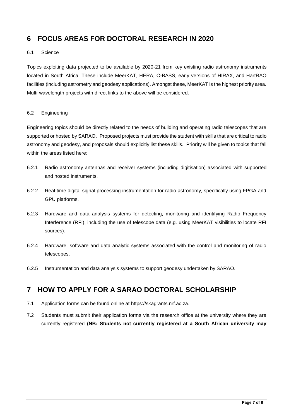## **6 FOCUS AREAS FOR DOCTORAL RESEARCH IN 2020**

#### 6.1 Science

Topics exploiting data projected to be available by 2020-21 from key existing radio astronomy instruments located in South Africa. These include MeerKAT, HERA, C-BASS, early versions of HIRAX, and HartRAO facilities (including astrometry and geodesy applications). Amongst these, MeerKAT is the highest priority area. Multi-wavelength projects with direct links to the above will be considered.

#### 6.2 Engineering

Engineering topics should be directly related to the needs of building and operating radio telescopes that are supported or hosted by SARAO. Proposed projects must provide the student with skills that are critical to radio astronomy and geodesy, and proposals should explicitly list these skills. Priority will be given to topics that fall within the areas listed here:

- 6.2.1 Radio astronomy antennas and receiver systems (including digitisation) associated with supported and hosted instruments.
- 6.2.2 Real-time digital signal processing instrumentation for radio astronomy, specifically using FPGA and GPU platforms.
- 6.2.3 Hardware and data analysis systems for detecting, monitoring and identifying Radio Frequency Interference (RFI), including the use of telescope data (e.g. using MeerKAT visibilities to locate RFI sources).
- 6.2.4 Hardware, software and data analytic systems associated with the control and monitoring of radio telescopes.
- 6.2.5 Instrumentation and data analysis systems to support geodesy undertaken by SARAO.

#### **7 HOW TO APPLY FOR A SARAO DOCTORAL SCHOLARSHIP**

- 7.1 Application forms can be found online at [https://skagrants.nrf.ac.za.](https://skagrants.nrf.ac.za/)
- 7.2 Students must submit their application forms via the research office at the university where they are currently registered **(NB: Students not currently registered at a South African university may**